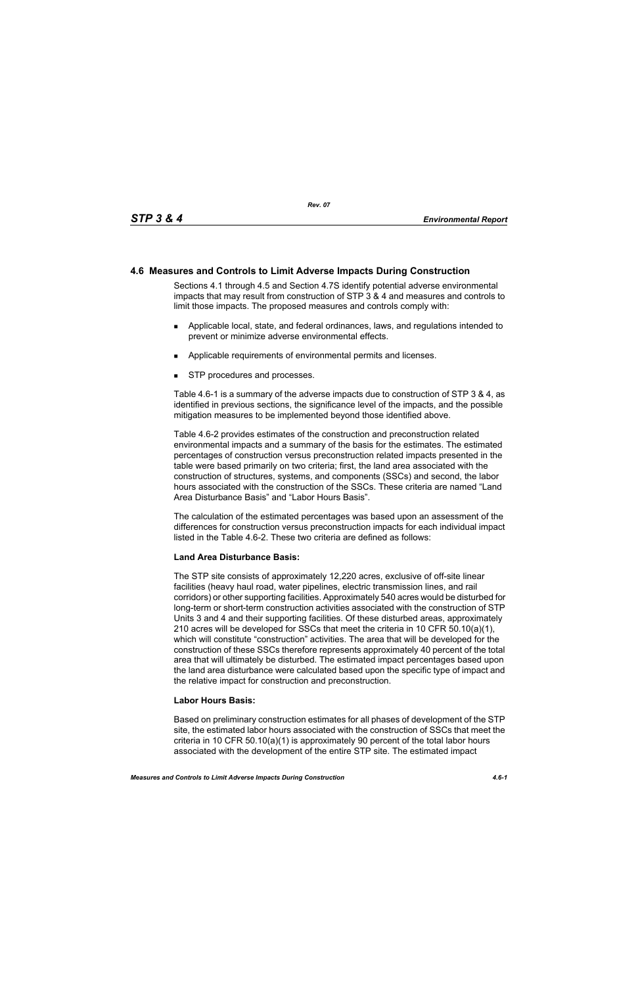# **4.6 Measures and Controls to Limit Adverse Impacts During Construction**

Sections 4.1 through 4.5 and Section 4.7S identify potential adverse environmental impacts that may result from construction of STP 3 & 4 and measures and controls to limit those impacts. The proposed measures and controls comply with:

- Applicable local, state, and federal ordinances, laws, and regulations intended to prevent or minimize adverse environmental effects.
- **Applicable requirements of environmental permits and licenses.**
- STP procedures and processes.

Table 4.6-1 is a summary of the adverse impacts due to construction of STP 3 & 4, as identified in previous sections, the significance level of the impacts, and the possible mitigation measures to be implemented beyond those identified above.

Table 4.6-2 provides estimates of the construction and preconstruction related environmental impacts and a summary of the basis for the estimates. The estimated percentages of construction versus preconstruction related impacts presented in the table were based primarily on two criteria; first, the land area associated with the construction of structures, systems, and components (SSCs) and second, the labor hours associated with the construction of the SSCs. These criteria are named "Land Area Disturbance Basis" and "Labor Hours Basis".

The calculation of the estimated percentages was based upon an assessment of the differences for construction versus preconstruction impacts for each individual impact listed in the Table 4.6-2. These two criteria are defined as follows:

## **Land Area Disturbance Basis:**

The STP site consists of approximately 12,220 acres, exclusive of off-site linear facilities (heavy haul road, water pipelines, electric transmission lines, and rail corridors) or other supporting facilities. Approximately 540 acres would be disturbed for long-term or short-term construction activities associated with the construction of STP Units 3 and 4 and their supporting facilities. Of these disturbed areas, approximately 210 acres will be developed for SSCs that meet the criteria in 10 CFR 50.10(a)(1), which will constitute "construction" activities. The area that will be developed for the construction of these SSCs therefore represents approximately 40 percent of the total area that will ultimately be disturbed. The estimated impact percentages based upon the land area disturbance were calculated based upon the specific type of impact and the relative impact for construction and preconstruction.

## **Labor Hours Basis:**

Based on preliminary construction estimates for all phases of development of the STP site, the estimated labor hours associated with the construction of SSCs that meet the criteria in 10 CFR 50.10(a)(1) is approximately 90 percent of the total labor hours associated with the development of the entire STP site. The estimated impact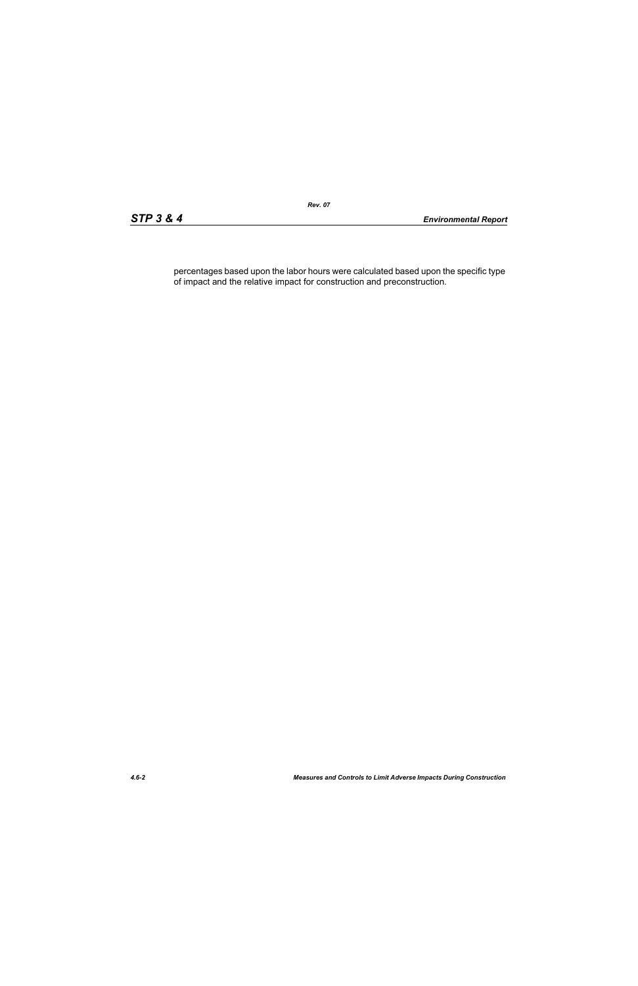percentages based upon the labor hours were calculated based upon the specific type of impact and the relative impact for construction and preconstruction.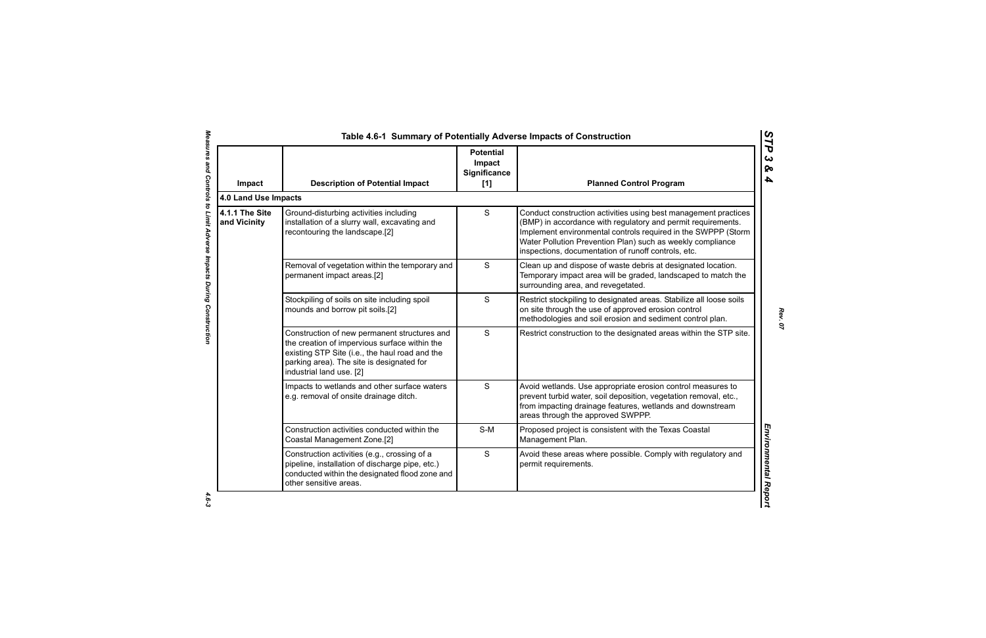| Impact                         | <b>Description of Potential Impact</b>                                                                                                                                                                                   | <b>Potential</b><br>Impact<br>Significance<br>$[1]$ | <b>Planned Control Program</b>                                                                                                                                                                                                                                                                                        |
|--------------------------------|--------------------------------------------------------------------------------------------------------------------------------------------------------------------------------------------------------------------------|-----------------------------------------------------|-----------------------------------------------------------------------------------------------------------------------------------------------------------------------------------------------------------------------------------------------------------------------------------------------------------------------|
| 4.0 Land Use Impacts           |                                                                                                                                                                                                                          |                                                     |                                                                                                                                                                                                                                                                                                                       |
| 4.1.1 The Site<br>and Vicinity | Ground-disturbing activities including<br>installation of a slurry wall, excavating and<br>recontouring the landscape.[2]                                                                                                | S                                                   | Conduct construction activities using best management practices<br>(BMP) in accordance with regulatory and permit requirements.<br>Implement environmental controls required in the SWPPP (Storm<br>Water Pollution Prevention Plan) such as weekly compliance<br>inspections, documentation of runoff controls, etc. |
|                                | Removal of vegetation within the temporary and<br>permanent impact areas.[2]                                                                                                                                             | S                                                   | Clean up and dispose of waste debris at designated location.<br>Temporary impact area will be graded, landscaped to match the<br>surrounding area, and revegetated.                                                                                                                                                   |
|                                | Stockpiling of soils on site including spoil<br>mounds and borrow pit soils.[2]                                                                                                                                          | S                                                   | Restrict stockpiling to designated areas. Stabilize all loose soils<br>on site through the use of approved erosion control<br>methodologies and soil erosion and sediment control plan.                                                                                                                               |
|                                | Construction of new permanent structures and<br>the creation of impervious surface within the<br>existing STP Site (i.e., the haul road and the<br>parking area). The site is designated for<br>industrial land use. [2] | S                                                   | Restrict construction to the designated areas within the STP site.                                                                                                                                                                                                                                                    |
|                                | Impacts to wetlands and other surface waters<br>e.g. removal of onsite drainage ditch.                                                                                                                                   | S                                                   | Avoid wetlands. Use appropriate erosion control measures to<br>prevent turbid water, soil deposition, vegetation removal, etc.,<br>from impacting drainage features, wetlands and downstream<br>areas through the approved SWPPP.                                                                                     |
|                                | Construction activities conducted within the<br>Coastal Management Zone.[2]                                                                                                                                              | $S-M$                                               | Proposed project is consistent with the Texas Coastal<br>Management Plan.                                                                                                                                                                                                                                             |
|                                | Construction activities (e.g., crossing of a<br>pipeline, installation of discharge pipe, etc.)<br>conducted within the designated flood zone and<br>other sensitive areas.                                              | S                                                   | Avoid these areas where possible. Comply with regulatory and<br>permit requirements.                                                                                                                                                                                                                                  |

 $4.6 - 3$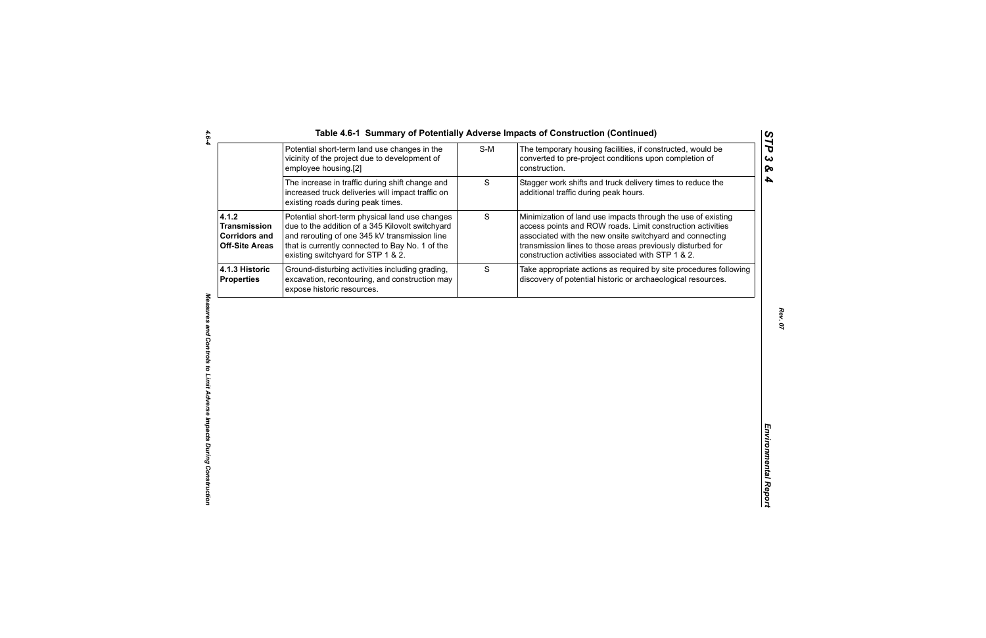| Table 4.6-1 Summary of Potentially Adverse Impacts of Construction (Continued |  |  |  |
|-------------------------------------------------------------------------------|--|--|--|
|-------------------------------------------------------------------------------|--|--|--|

|                                                                               | Potential short-term land use changes in the<br>vicinity of the project due to development of<br>employee housing.[2]                                                                                                                        | $S-M$ | The temporary housing facilities, if constructed, would be<br>converted to pre-project conditions upon completion of<br>construction.                                                                                                                                                                      |
|-------------------------------------------------------------------------------|----------------------------------------------------------------------------------------------------------------------------------------------------------------------------------------------------------------------------------------------|-------|------------------------------------------------------------------------------------------------------------------------------------------------------------------------------------------------------------------------------------------------------------------------------------------------------------|
|                                                                               | The increase in traffic during shift change and<br>increased truck deliveries will impact traffic on<br>existing roads during peak times.                                                                                                    | S     | Stagger work shifts and truck delivery times to reduce the<br>additional traffic during peak hours.                                                                                                                                                                                                        |
| 4.1.2<br><b>Transmission</b><br><b>Corridors and</b><br><b>Off-Site Areas</b> | Potential short-term physical land use changes<br>due to the addition of a 345 Kilovolt switchyard<br>and rerouting of one 345 kV transmission line<br>that is currently connected to Bay No. 1 of the<br>existing switchyard for STP 1 & 2. | S     | Minimization of land use impacts through the use of existing<br>access points and ROW roads. Limit construction activities<br>associated with the new onsite switchyard and connecting<br>transmission lines to those areas previously disturbed for<br>construction activities associated with STP 1 & 2. |
| 4.1.3 Historic<br><b>Properties</b>                                           | Ground-disturbing activities including grading,<br>excavation, recontouring, and construction may<br>expose historic resources.                                                                                                              | S     | Take appropriate actions as required by site procedures following<br>discovery of potential historic or archaeological resources.                                                                                                                                                                          |
|                                                                               |                                                                                                                                                                                                                                              |       |                                                                                                                                                                                                                                                                                                            |
|                                                                               |                                                                                                                                                                                                                                              |       |                                                                                                                                                                                                                                                                                                            |
|                                                                               |                                                                                                                                                                                                                                              |       |                                                                                                                                                                                                                                                                                                            |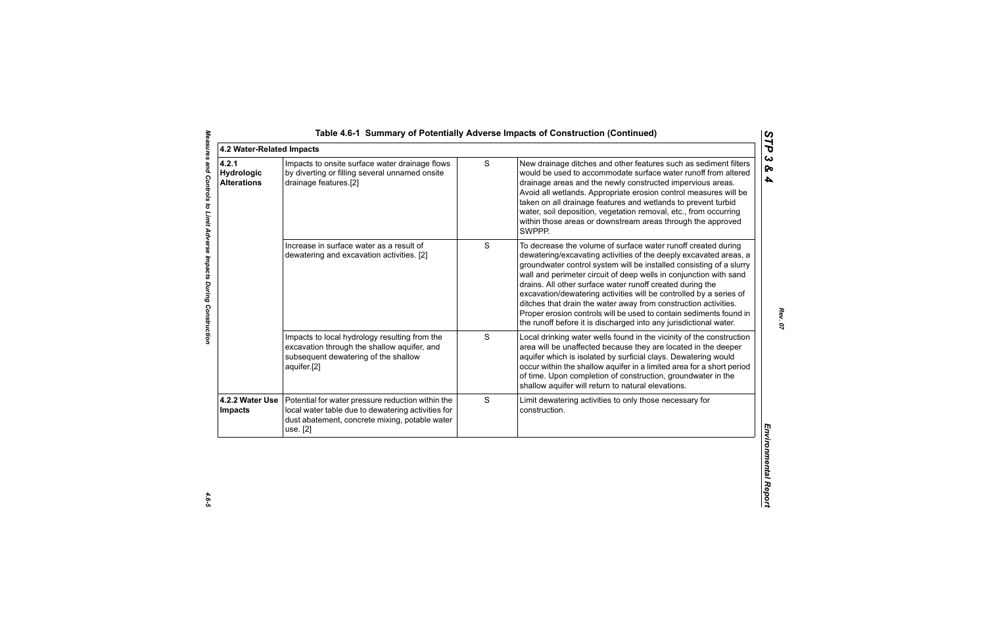| 4.2.1<br>Hydrologic<br><b>Alterations</b>     | Impacts to onsite surface water drainage flows<br>by diverting or filling several unnamed onsite<br>drainage features.[2]                                 | S | New drainage ditches and other features such as sediment filters<br>ଚ୍ଚ<br>would be used to accommodate surface water runoff from altered<br>drainage areas and the newly constructed impervious areas.                                                                                                                                                                                                                                                                                                                                                                                                                         |
|-----------------------------------------------|-----------------------------------------------------------------------------------------------------------------------------------------------------------|---|---------------------------------------------------------------------------------------------------------------------------------------------------------------------------------------------------------------------------------------------------------------------------------------------------------------------------------------------------------------------------------------------------------------------------------------------------------------------------------------------------------------------------------------------------------------------------------------------------------------------------------|
|                                               |                                                                                                                                                           |   | Avoid all wetlands. Appropriate erosion control measures will be<br>taken on all drainage features and wetlands to prevent turbid<br>water, soil deposition, vegetation removal, etc., from occurring<br>within those areas or downstream areas through the approved<br>SWPPP.                                                                                                                                                                                                                                                                                                                                                  |
|                                               | Increase in surface water as a result of<br>dewatering and excavation activities. [2]                                                                     | S | To decrease the volume of surface water runoff created during<br>dewatering/excavating activities of the deeply excavated areas, a<br>groundwater control system will be installed consisting of a slurry<br>wall and perimeter circuit of deep wells in conjunction with sand<br>drains. All other surface water runoff created during the<br>excavation/dewatering activities will be controlled by a series of<br>ditches that drain the water away from construction activities.<br>Proper erosion controls will be used to contain sediments found in<br>the runoff before it is discharged into any jurisdictional water. |
| aquifer.[2]                                   | Impacts to local hydrology resulting from the<br>excavation through the shallow aquifer, and<br>subsequent dewatering of the shallow                      | S | Local drinking water wells found in the vicinity of the construction<br>area will be unaffected because they are located in the deeper<br>aquifer which is isolated by surficial clays. Dewatering would<br>occur within the shallow aquifer in a limited area for a short period<br>of time. Upon completion of construction, groundwater in the<br>shallow aquifer will return to natural elevations.                                                                                                                                                                                                                         |
| 4.2.2 Water Use<br><b>Impacts</b><br>use. [2] | Potential for water pressure reduction within the<br>local water table due to dewatering activities for<br>dust abatement, concrete mixing, potable water | S | Limit dewatering activities to only those necessary for<br>construction.<br>Environmental Repor                                                                                                                                                                                                                                                                                                                                                                                                                                                                                                                                 |

 $4.6 - 5$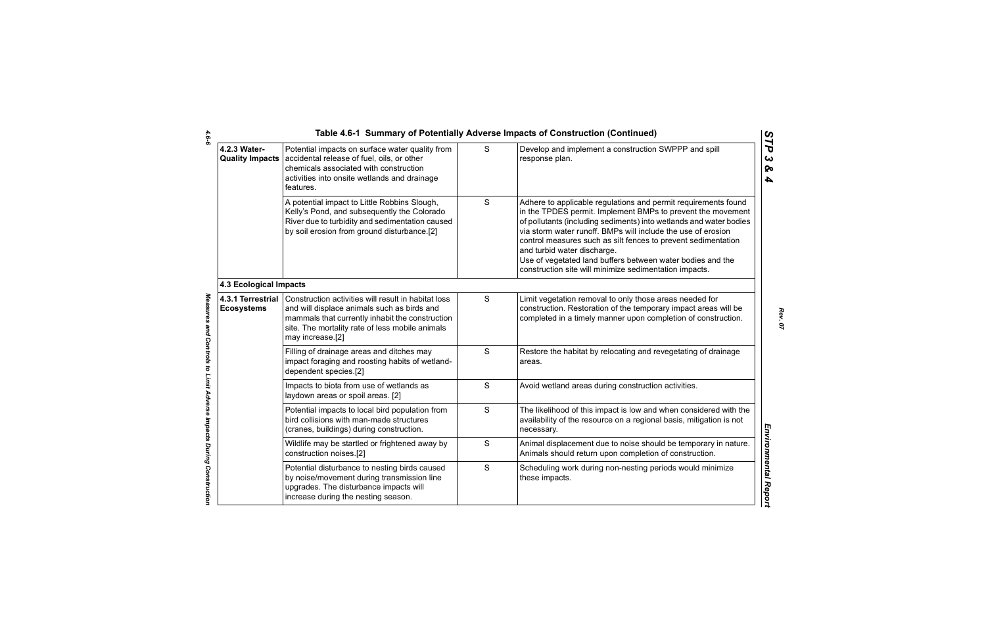|                                        |                                                                                                                                                                                                                              |               | Table 4.6-1 Summary of Potentially Adverse Impacts of Construction (Continued)                                                                                                                                                                                                                                                                                                                                                                                                              |
|----------------------------------------|------------------------------------------------------------------------------------------------------------------------------------------------------------------------------------------------------------------------------|---------------|---------------------------------------------------------------------------------------------------------------------------------------------------------------------------------------------------------------------------------------------------------------------------------------------------------------------------------------------------------------------------------------------------------------------------------------------------------------------------------------------|
| 4.2.3 Water-<br><b>Quality Impacts</b> | Potential impacts on surface water quality from<br>accidental release of fuel, oils, or other<br>chemicals associated with construction<br>activities into onsite wetlands and drainage<br>features.                         | S             | Develop and implement a construction SWPPP and spill<br>response plan.                                                                                                                                                                                                                                                                                                                                                                                                                      |
|                                        | A potential impact to Little Robbins Slough,<br>Kelly's Pond, and subsequently the Colorado<br>River due to turbidity and sedimentation caused<br>by soil erosion from ground disturbance.[2]                                | S             | Adhere to applicable regulations and permit requirements found<br>in the TPDES permit. Implement BMPs to prevent the movement<br>of pollutants (including sediments) into wetlands and water bodies<br>via storm water runoff. BMPs will include the use of erosion<br>control measures such as silt fences to prevent sedimentation<br>and turbid water discharge.<br>Use of vegetated land buffers between water bodies and the<br>construction site will minimize sedimentation impacts. |
| <b>4.3 Ecological Impacts</b>          |                                                                                                                                                                                                                              |               |                                                                                                                                                                                                                                                                                                                                                                                                                                                                                             |
| 4.3.1 Terrestrial<br><b>Ecosystems</b> | Construction activities will result in habitat loss<br>and will displace animals such as birds and<br>mammals that currently inhabit the construction<br>site. The mortality rate of less mobile animals<br>may increase.[2] | S             | Limit vegetation removal to only those areas needed for<br>construction. Restoration of the temporary impact areas will be<br>completed in a timely manner upon completion of construction.                                                                                                                                                                                                                                                                                                 |
|                                        | Filling of drainage areas and ditches may<br>impact foraging and roosting habits of wetland-<br>dependent species.[2]                                                                                                        | $\mathbf S$   | Restore the habitat by relocating and revegetating of drainage<br>areas.                                                                                                                                                                                                                                                                                                                                                                                                                    |
|                                        | Impacts to biota from use of wetlands as<br>laydown areas or spoil areas. [2]                                                                                                                                                | S             | Avoid wetland areas during construction activities.                                                                                                                                                                                                                                                                                                                                                                                                                                         |
|                                        | Potential impacts to local bird population from<br>bird collisions with man-made structures<br>(cranes, buildings) during construction.                                                                                      | S             | The likelihood of this impact is low and when considered with the<br>availability of the resource on a regional basis, mitigation is not<br>necessary.                                                                                                                                                                                                                                                                                                                                      |
|                                        | Wildlife may be startled or frightened away by<br>construction noises.[2]                                                                                                                                                    | ${\mathsf S}$ | Animal displacement due to noise should be temporary in nature.<br>Animals should return upon completion of construction.                                                                                                                                                                                                                                                                                                                                                                   |
|                                        | Potential disturbance to nesting birds caused<br>by noise/movement during transmission line<br>upgrades. The disturbance impacts will<br>increase during the nesting season.                                                 | S             | Scheduling work during non-nesting periods would minimize<br>these impacts.                                                                                                                                                                                                                                                                                                                                                                                                                 |
|                                        |                                                                                                                                                                                                                              |               |                                                                                                                                                                                                                                                                                                                                                                                                                                                                                             |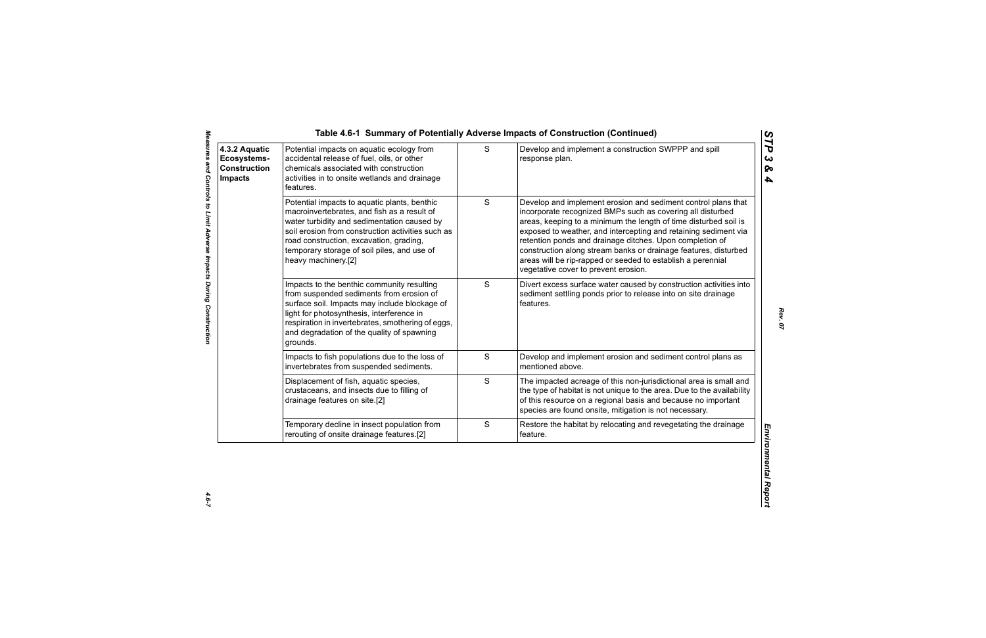| 4.3.2 Aquatic<br>Ecosystems-<br><b>Construction</b><br><b>Impacts</b> | Potential impacts on aquatic ecology from<br>accidental release of fuel, oils, or other<br>chemicals associated with construction<br>activities in to onsite wetlands and drainage<br>features.                                                                                                                  | S             | Develop and implement a construction SWPPP and spill<br>response plan.                                                                                                                                                                                                                                                                                                                                                                                                                                   |
|-----------------------------------------------------------------------|------------------------------------------------------------------------------------------------------------------------------------------------------------------------------------------------------------------------------------------------------------------------------------------------------------------|---------------|----------------------------------------------------------------------------------------------------------------------------------------------------------------------------------------------------------------------------------------------------------------------------------------------------------------------------------------------------------------------------------------------------------------------------------------------------------------------------------------------------------|
|                                                                       | Potential impacts to aquatic plants, benthic<br>macroinvertebrates, and fish as a result of<br>water turbidity and sedimentation caused by<br>soil erosion from construction activities such as<br>road construction, excavation, grading,<br>temporary storage of soil piles, and use of<br>heavy machinery.[2] | ${\mathsf S}$ | Develop and implement erosion and sediment control plans that<br>incorporate recognized BMPs such as covering all disturbed<br>areas, keeping to a minimum the length of time disturbed soil is<br>exposed to weather, and intercepting and retaining sediment via<br>retention ponds and drainage ditches. Upon completion of<br>construction along stream banks or drainage features, disturbed<br>areas will be rip-rapped or seeded to establish a perennial<br>vegetative cover to prevent erosion. |
|                                                                       | Impacts to the benthic community resulting<br>from suspended sediments from erosion of<br>surface soil. Impacts may include blockage of<br>light for photosynthesis, interference in<br>respiration in invertebrates, smothering of eggs,<br>and degradation of the quality of spawning<br>grounds.              | S             | Divert excess surface water caused by construction activities into<br>sediment settling ponds prior to release into on site drainage<br>features.                                                                                                                                                                                                                                                                                                                                                        |
|                                                                       | Impacts to fish populations due to the loss of<br>invertebrates from suspended sediments.                                                                                                                                                                                                                        | S             | Develop and implement erosion and sediment control plans as<br>mentioned above.                                                                                                                                                                                                                                                                                                                                                                                                                          |
|                                                                       | Displacement of fish, aquatic species,<br>crustaceans, and insects due to filling of<br>drainage features on site.[2]                                                                                                                                                                                            | S             | The impacted acreage of this non-jurisdictional area is small and<br>the type of habitat is not unique to the area. Due to the availability<br>of this resource on a regional basis and because no important<br>species are found onsite, mitigation is not necessary.                                                                                                                                                                                                                                   |
|                                                                       | Temporary decline in insect population from<br>rerouting of onsite drainage features.[2]                                                                                                                                                                                                                         | $\mathbf S$   | Restore the habitat by relocating and revegetating the drainage<br>feature.                                                                                                                                                                                                                                                                                                                                                                                                                              |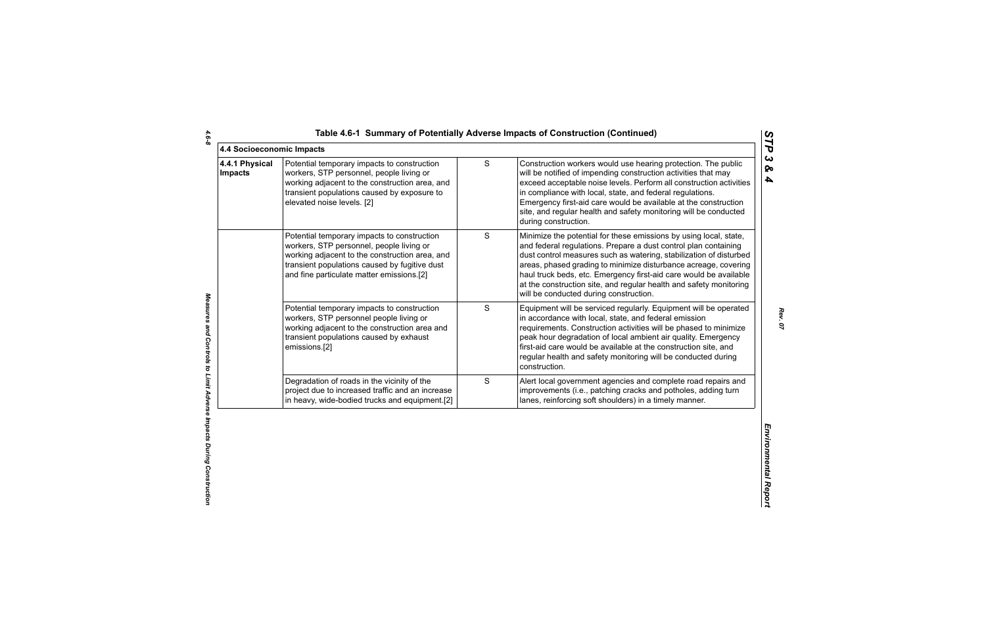|  | Table 4.6-1 Summary of Potentially Adverse Impacts of Construction (Continued) |  |  |  |
|--|--------------------------------------------------------------------------------|--|--|--|
|--|--------------------------------------------------------------------------------|--|--|--|

| 4.4 Socioeconomic Impacts        |                                                                                                                                                                                                                                         |             |                                                                                                                                                                                                                                                                                                                                                                                                                                                                    |
|----------------------------------|-----------------------------------------------------------------------------------------------------------------------------------------------------------------------------------------------------------------------------------------|-------------|--------------------------------------------------------------------------------------------------------------------------------------------------------------------------------------------------------------------------------------------------------------------------------------------------------------------------------------------------------------------------------------------------------------------------------------------------------------------|
| 4.4.1 Physical<br><b>Impacts</b> | Potential temporary impacts to construction<br>workers, STP personnel, people living or<br>working adjacent to the construction area, and<br>transient populations caused by exposure to<br>elevated noise levels. [2]                  | S           | Construction workers would use hearing protection. The public<br>will be notified of impending construction activities that may<br>exceed acceptable noise levels. Perform all construction activities<br>in compliance with local, state, and federal regulations.<br>Emergency first-aid care would be available at the construction<br>site, and regular health and safety monitoring will be conducted<br>during construction.                                 |
|                                  | Potential temporary impacts to construction<br>workers, STP personnel, people living or<br>working adjacent to the construction area, and<br>transient populations caused by fugitive dust<br>and fine particulate matter emissions.[2] | S           | Minimize the potential for these emissions by using local, state,<br>and federal regulations. Prepare a dust control plan containing<br>dust control measures such as watering, stabilization of disturbed<br>areas, phased grading to minimize disturbance acreage, covering<br>haul truck beds, etc. Emergency first-aid care would be available<br>at the construction site, and regular health and safety monitoring<br>will be conducted during construction. |
|                                  | Potential temporary impacts to construction<br>workers, STP personnel people living or<br>working adjacent to the construction area and<br>transient populations caused by exhaust<br>emissions.[2]                                     | S           | Equipment will be serviced regularly. Equipment will be operated<br>in accordance with local, state, and federal emission<br>requirements. Construction activities will be phased to minimize<br>peak hour degradation of local ambient air quality. Emergency<br>first-aid care would be available at the construction site, and<br>regular health and safety monitoring will be conducted during<br>construction.                                                |
|                                  | Degradation of roads in the vicinity of the<br>project due to increased traffic and an increase<br>in heavy, wide-bodied trucks and equipment.[2]                                                                                       | $\mathbf S$ | Alert local government agencies and complete road repairs and<br>improvements (i.e., patching cracks and potholes, adding turn<br>lanes, reinforcing soft shoulders) in a timely manner.                                                                                                                                                                                                                                                                           |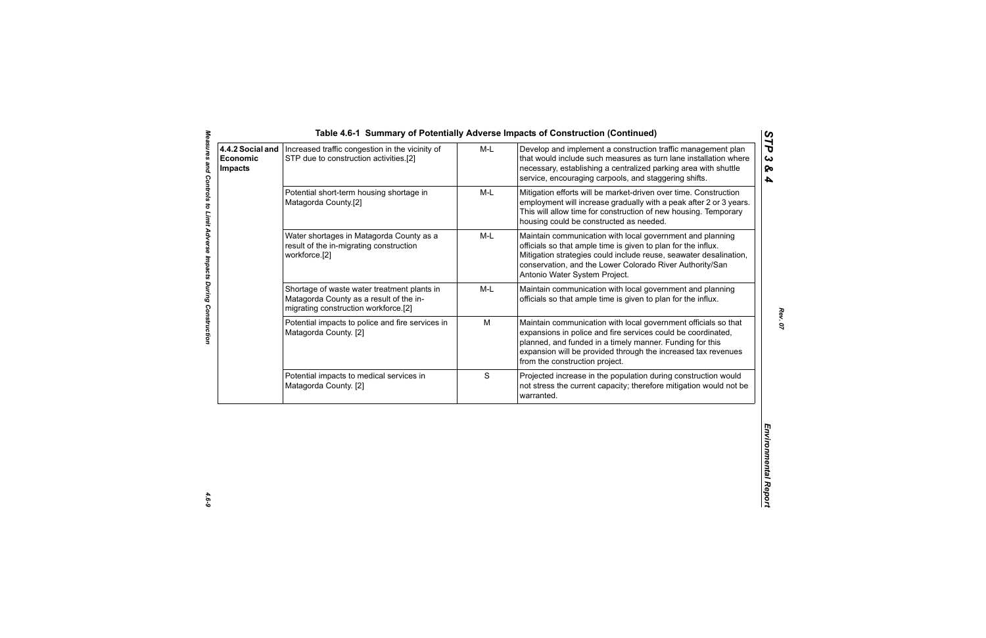|                                                                                                                                |             | necessary, establishing a centralized parking area with shuttle<br>service, encouraging carpools, and staggering shifts.                                                                                                                                                                      |
|--------------------------------------------------------------------------------------------------------------------------------|-------------|-----------------------------------------------------------------------------------------------------------------------------------------------------------------------------------------------------------------------------------------------------------------------------------------------|
| Potential short-term housing shortage in<br>Matagorda County.[2]                                                               | $M-L$       | Mitigation efforts will be market-driven over time. Construction<br>employment will increase gradually with a peak after 2 or 3 years.<br>This will allow time for construction of new housing. Temporary<br>housing could be constructed as needed.                                          |
| Water shortages in Matagorda County as a<br>result of the in-migrating construction<br>workforce.[2]                           | $M-L$       | Maintain communication with local government and planning<br>officials so that ample time is given to plan for the influx.<br>Mitigation strategies could include reuse, seawater desalination,<br>conservation, and the Lower Colorado River Authority/San<br>Antonio Water System Project.  |
| Shortage of waste water treatment plants in<br>Matagorda County as a result of the in-<br>migrating construction workforce.[2] | M-L         | Maintain communication with local government and planning<br>officials so that ample time is given to plan for the influx.                                                                                                                                                                    |
| Potential impacts to police and fire services in<br>Matagorda County. [2]                                                      | M           | Maintain communication with local government officials so that<br>expansions in police and fire services could be coordinated,<br>planned, and funded in a timely manner. Funding for this<br>expansion will be provided through the increased tax revenues<br>from the construction project. |
| Potential impacts to medical services in<br>Matagorda County. [2]                                                              | $\mathsf S$ | Projected increase in the population during construction would<br>not stress the current capacity; therefore mitigation would not be<br>warranted.                                                                                                                                            |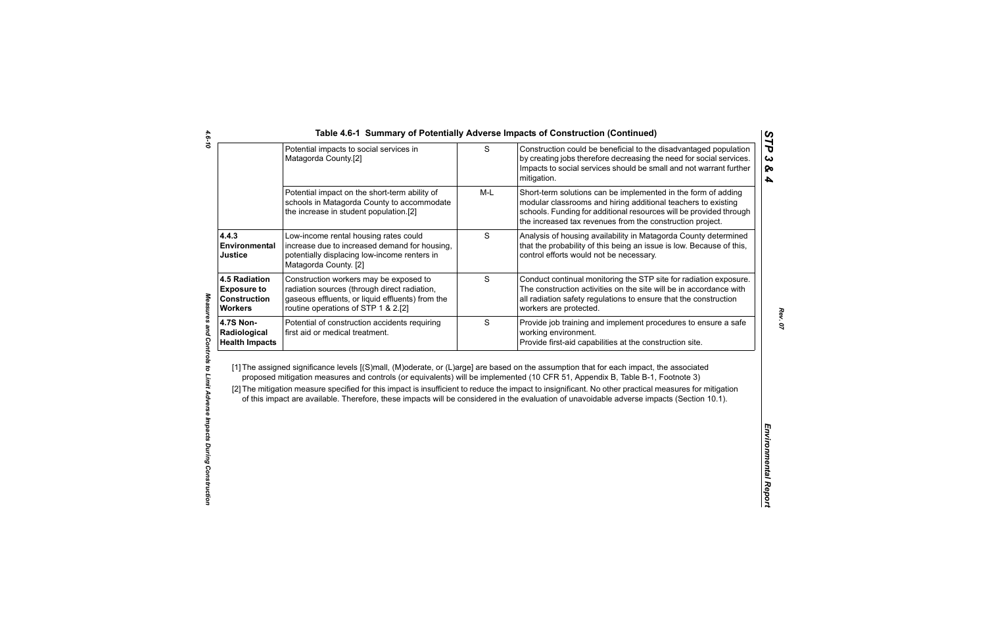|                                                                                     | $\mathsf S$<br>Potential impacts to social services in<br>Matagorda County.[2]                                                                                                    |       | Construction could be beneficial to the disadvantaged population<br>by creating jobs therefore decreasing the need for social services.<br>Impacts to social services should be small and not warrant further<br>mitigation.                                                                                                                                                                                                                                                                                                                                                     |
|-------------------------------------------------------------------------------------|-----------------------------------------------------------------------------------------------------------------------------------------------------------------------------------|-------|----------------------------------------------------------------------------------------------------------------------------------------------------------------------------------------------------------------------------------------------------------------------------------------------------------------------------------------------------------------------------------------------------------------------------------------------------------------------------------------------------------------------------------------------------------------------------------|
|                                                                                     | Potential impact on the short-term ability of<br>schools in Matagorda County to accommodate<br>the increase in student population.[2]                                             | $M-L$ | Short-term solutions can be implemented in the form of adding<br>modular classrooms and hiring additional teachers to existing<br>schools. Funding for additional resources will be provided through<br>the increased tax revenues from the construction project.                                                                                                                                                                                                                                                                                                                |
| 4.4.3<br>Environmental<br><b>Justice</b>                                            | Low-income rental housing rates could<br>increase due to increased demand for housing,<br>potentially displacing low-income renters in<br>Matagorda County. [2]                   | S     | Analysis of housing availability in Matagorda County determined<br>that the probability of this being an issue is low. Because of this,<br>control efforts would not be necessary.                                                                                                                                                                                                                                                                                                                                                                                               |
| <b>4.5 Radiation</b><br><b>Exposure to</b><br><b>Construction</b><br><b>Workers</b> | Construction workers may be exposed to<br>radiation sources (through direct radiation,<br>gaseous effluents, or liquid effluents) from the<br>routine operations of STP 1 & 2.[2] | S     | Conduct continual monitoring the STP site for radiation exposure.<br>The construction activities on the site will be in accordance with<br>all radiation safety regulations to ensure that the construction<br>workers are protected.                                                                                                                                                                                                                                                                                                                                            |
| <b>4.7S Non-</b><br>Radiological<br><b>Health Impacts</b>                           | Potential of construction accidents requiring<br>first aid or medical treatment.                                                                                                  | S     | Provide job training and implement procedures to ensure a safe<br>working environment.<br>Provide first-aid capabilities at the construction site.                                                                                                                                                                                                                                                                                                                                                                                                                               |
|                                                                                     |                                                                                                                                                                                   |       | [1] The assigned significance levels [(S)mall, (M)oderate, or (L)arge] are based on the assumption that for each impact, the associated<br>proposed mitigation measures and controls (or equivalents) will be implemented (10 CFR 51, Appendix B, Table B-1, Footnote 3)<br>[2] The mitigation measure specified for this impact is insufficient to reduce the impact to insignificant. No other practical measures for mitigation<br>of this impact are available. Therefore, these impacts will be considered in the evaluation of unavoidable adverse impacts (Section 10.1). |
|                                                                                     |                                                                                                                                                                                   |       |                                                                                                                                                                                                                                                                                                                                                                                                                                                                                                                                                                                  |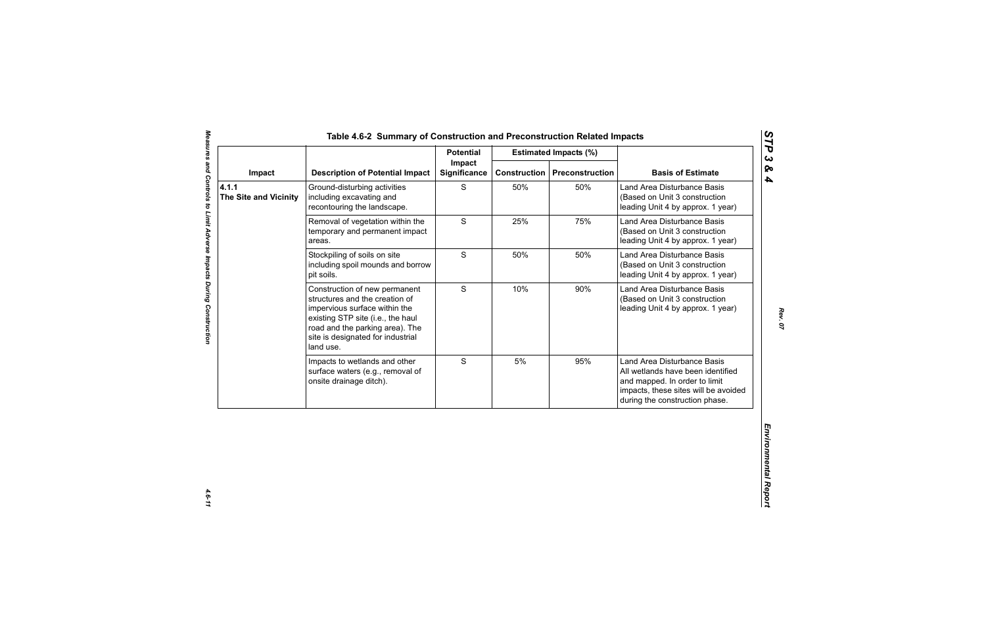|                                       |                                                                                                                                                                                                                            | <b>Potential</b>              |                     | <b>Estimated Impacts (%)</b> | <b>Basis of Estimate</b>                                                                                                                                                    |
|---------------------------------------|----------------------------------------------------------------------------------------------------------------------------------------------------------------------------------------------------------------------------|-------------------------------|---------------------|------------------------------|-----------------------------------------------------------------------------------------------------------------------------------------------------------------------------|
| Impact                                | <b>Description of Potential Impact</b>                                                                                                                                                                                     | Impact<br><b>Significance</b> | <b>Construction</b> | <b>Preconstruction</b>       |                                                                                                                                                                             |
| 4.1.1<br><b>The Site and Vicinity</b> | Ground-disturbing activities<br>including excavating and<br>recontouring the landscape.                                                                                                                                    | S                             | 50%                 | 50%                          | Land Area Disturbance Basis<br>(Based on Unit 3 construction<br>leading Unit 4 by approx. 1 year)                                                                           |
|                                       | Removal of vegetation within the<br>temporary and permanent impact<br>areas.                                                                                                                                               | S                             | 25%                 | 75%                          | Land Area Disturbance Basis<br>(Based on Unit 3 construction<br>leading Unit 4 by approx. 1 year)                                                                           |
|                                       | Stockpiling of soils on site<br>including spoil mounds and borrow<br>pit soils.                                                                                                                                            | S                             | 50%                 | 50%                          | Land Area Disturbance Basis<br>(Based on Unit 3 construction<br>leading Unit 4 by approx. 1 year)                                                                           |
|                                       | Construction of new permanent<br>structures and the creation of<br>impervious surface within the<br>existing STP site (i.e., the haul<br>road and the parking area). The<br>site is designated for industrial<br>land use. | S                             | 10%                 | 90%                          | Land Area Disturbance Basis<br>(Based on Unit 3 construction<br>leading Unit 4 by approx. 1 year)                                                                           |
|                                       | Impacts to wetlands and other<br>surface waters (e.g., removal of<br>onsite drainage ditch).                                                                                                                               | S                             | 5%                  | 95%                          | Land Area Disturbance Basis<br>All wetlands have been identified<br>and mapped. In order to limit<br>impacts, these sites will be avoided<br>during the construction phase. |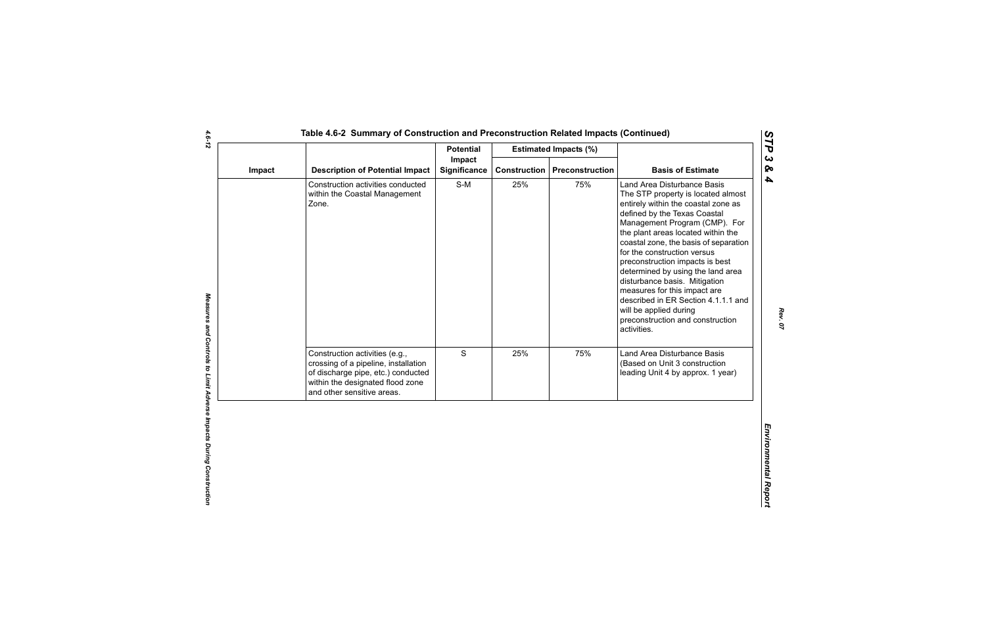|        |                                                                                                                                                                                | <b>Potential</b>       |     | <b>Estimated Impacts (%)</b>          |                                                                                                                                                                                                                                                                                                                                                                                                                                                                                                                                                      |
|--------|--------------------------------------------------------------------------------------------------------------------------------------------------------------------------------|------------------------|-----|---------------------------------------|------------------------------------------------------------------------------------------------------------------------------------------------------------------------------------------------------------------------------------------------------------------------------------------------------------------------------------------------------------------------------------------------------------------------------------------------------------------------------------------------------------------------------------------------------|
| Impact | <b>Description of Potential Impact</b>                                                                                                                                         | Impact<br>Significance |     | <b>Construction   Preconstruction</b> | <b>Basis of Estimate</b>                                                                                                                                                                                                                                                                                                                                                                                                                                                                                                                             |
|        | Construction activities conducted<br>within the Coastal Management<br>Zone.                                                                                                    | $S-M$                  | 25% | 75%                                   | Land Area Disturbance Basis<br>The STP property is located almost<br>entirely within the coastal zone as<br>defined by the Texas Coastal<br>Management Program (CMP). For<br>the plant areas located within the<br>coastal zone, the basis of separation<br>for the construction versus<br>preconstruction impacts is best<br>determined by using the land area<br>disturbance basis. Mitigation<br>measures for this impact are<br>described in ER Section 4.1.1.1 and<br>will be applied during<br>preconstruction and construction<br>activities. |
|        | Construction activities (e.g.,<br>crossing of a pipeline, installation<br>of discharge pipe, etc.) conducted<br>within the designated flood zone<br>and other sensitive areas. | S                      | 25% | 75%                                   | Land Area Disturbance Basis<br>(Based on Unit 3 construction<br>leading Unit 4 by approx. 1 year)                                                                                                                                                                                                                                                                                                                                                                                                                                                    |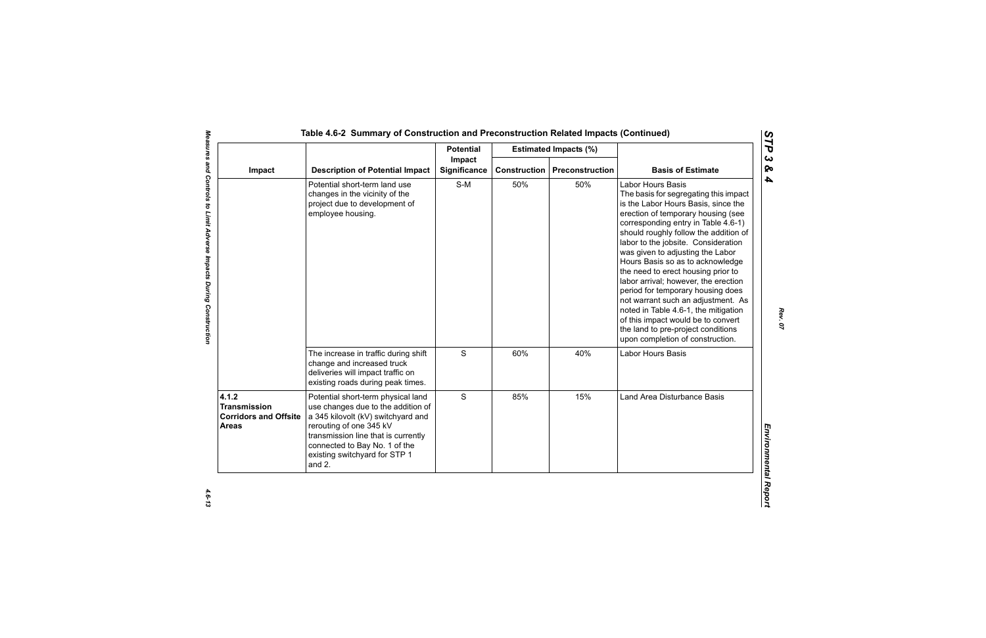|                                                                              |                                                                                                                                                                                                                                                              | <b>Potential</b>              |                     | <b>Estimated Impacts (%)</b> |                                                                                                                                                                                                                                                                                                                                                                                                                                                                                                                                                                                                                                                                |
|------------------------------------------------------------------------------|--------------------------------------------------------------------------------------------------------------------------------------------------------------------------------------------------------------------------------------------------------------|-------------------------------|---------------------|------------------------------|----------------------------------------------------------------------------------------------------------------------------------------------------------------------------------------------------------------------------------------------------------------------------------------------------------------------------------------------------------------------------------------------------------------------------------------------------------------------------------------------------------------------------------------------------------------------------------------------------------------------------------------------------------------|
| Impact                                                                       | <b>Description of Potential Impact</b>                                                                                                                                                                                                                       | Impact<br><b>Significance</b> | <b>Construction</b> | Preconstruction              | <b>Basis of Estimate</b>                                                                                                                                                                                                                                                                                                                                                                                                                                                                                                                                                                                                                                       |
|                                                                              | Potential short-term land use<br>changes in the vicinity of the<br>project due to development of<br>employee housing.                                                                                                                                        | $S-M$                         | 50%                 | 50%                          | <b>Labor Hours Basis</b><br>The basis for segregating this impact<br>is the Labor Hours Basis, since the<br>erection of temporary housing (see<br>corresponding entry in Table 4.6-1)<br>should roughly follow the addition of<br>labor to the jobsite. Consideration<br>was given to adjusting the Labor<br>Hours Basis so as to acknowledge<br>the need to erect housing prior to<br>labor arrival; however, the erection<br>period for temporary housing does<br>not warrant such an adjustment. As<br>noted in Table 4.6-1, the mitigation<br>of this impact would be to convert<br>the land to pre-project conditions<br>upon completion of construction. |
|                                                                              | The increase in traffic during shift<br>change and increased truck<br>deliveries will impact traffic on<br>existing roads during peak times.                                                                                                                 | ${\mathsf S}$                 | 60%                 | 40%                          | Labor Hours Basis                                                                                                                                                                                                                                                                                                                                                                                                                                                                                                                                                                                                                                              |
| 4.1.2<br><b>Transmission</b><br><b>Corridors and Offsite</b><br><b>Areas</b> | Potential short-term physical land<br>use changes due to the addition of<br>a 345 kilovolt (kV) switchyard and<br>rerouting of one 345 kV<br>transmission line that is currently<br>connected to Bay No. 1 of the<br>existing switchyard for STP 1<br>and 2. | S                             | 85%                 | 15%                          | Land Area Disturbance Basis                                                                                                                                                                                                                                                                                                                                                                                                                                                                                                                                                                                                                                    |

*STP 3 & 4*

 $4.6 - 13$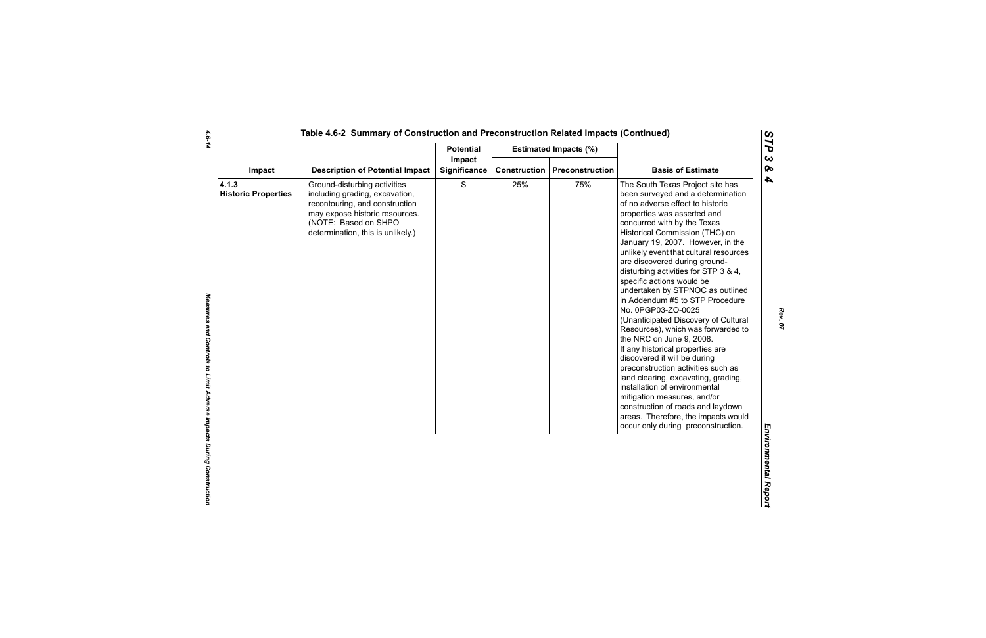|                                     | Impact                                                                                                                                                                                          | <b>Potential</b> |              | <b>Estimated Impacts (%)</b> |                                                                                                                                                                                                                                                                                                                                                                                                                                                                                                                                                                                                                                                                                                                                                                                                                                                                                                                                          |
|-------------------------------------|-------------------------------------------------------------------------------------------------------------------------------------------------------------------------------------------------|------------------|--------------|------------------------------|------------------------------------------------------------------------------------------------------------------------------------------------------------------------------------------------------------------------------------------------------------------------------------------------------------------------------------------------------------------------------------------------------------------------------------------------------------------------------------------------------------------------------------------------------------------------------------------------------------------------------------------------------------------------------------------------------------------------------------------------------------------------------------------------------------------------------------------------------------------------------------------------------------------------------------------|
| Impact                              | <b>Description of Potential Impact</b>                                                                                                                                                          | Significance     | Construction | <b>Preconstruction</b>       | <b>Basis of Estimate</b>                                                                                                                                                                                                                                                                                                                                                                                                                                                                                                                                                                                                                                                                                                                                                                                                                                                                                                                 |
| 4.1.3<br><b>Historic Properties</b> | Ground-disturbing activities<br>including grading, excavation,<br>recontouring, and construction<br>may expose historic resources.<br>(NOTE: Based on SHPO<br>determination, this is unlikely.) | $\mathbf S$      | 25%          | 75%                          | The South Texas Project site has<br>been surveyed and a determination<br>of no adverse effect to historic<br>properties was asserted and<br>concurred with by the Texas<br>Historical Commission (THC) on<br>January 19, 2007. However, in the<br>unlikely event that cultural resources<br>are discovered during ground-<br>disturbing activities for STP 3 & 4,<br>specific actions would be<br>undertaken by STPNOC as outlined<br>in Addendum #5 to STP Procedure<br>No. 0PGP03-ZO-0025<br>(Unanticipated Discovery of Cultural<br>Resources), which was forwarded to<br>the NRC on June 9, 2008.<br>If any historical properties are<br>discovered it will be during<br>preconstruction activities such as<br>land clearing, excavating, grading,<br>installation of environmental<br>mitigation measures, and/or<br>construction of roads and laydown<br>areas. Therefore, the impacts would<br>occur only during preconstruction. |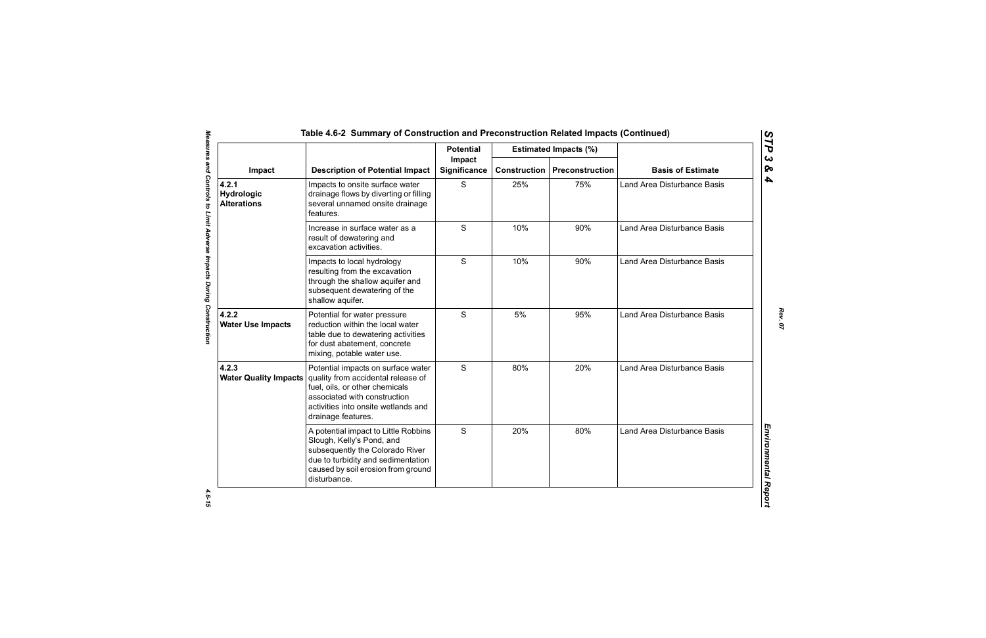|                                           |                                                                                                                                                                                                         | <b>Potential</b>       |                     | <b>Estimated Impacts (%)</b> |                                    |
|-------------------------------------------|---------------------------------------------------------------------------------------------------------------------------------------------------------------------------------------------------------|------------------------|---------------------|------------------------------|------------------------------------|
| Impact                                    | <b>Description of Potential Impact</b>                                                                                                                                                                  | Impact<br>Significance | <b>Construction</b> | Preconstruction              | <b>Basis of Estimate</b>           |
| 4.2.1<br>Hydrologic<br><b>Alterations</b> | Impacts to onsite surface water<br>drainage flows by diverting or filling<br>several unnamed onsite drainage<br>features.                                                                               | S                      | 25%                 | 75%                          | Land Area Disturbance Basis        |
|                                           | Increase in surface water as a<br>result of dewatering and<br>excavation activities.                                                                                                                    | S                      | 10%                 | 90%                          | <b>Land Area Disturbance Basis</b> |
|                                           | Impacts to local hydrology<br>resulting from the excavation<br>through the shallow aquifer and<br>subsequent dewatering of the<br>shallow aquifer.                                                      | S                      | 10%                 | 90%                          | <b>Land Area Disturbance Basis</b> |
| 4.2.2<br><b>Water Use Impacts</b>         | Potential for water pressure<br>reduction within the local water<br>table due to dewatering activities<br>for dust abatement, concrete<br>mixing, potable water use.                                    | S                      | 5%                  | 95%                          | <b>Land Area Disturbance Basis</b> |
| 4.2.3<br><b>Water Quality Impacts</b>     | Potential impacts on surface water<br>quality from accidental release of<br>fuel, oils, or other chemicals<br>associated with construction<br>activities into onsite wetlands and<br>drainage features. | S                      | 80%                 | 20%                          | Land Area Disturbance Basis        |
|                                           | A potential impact to Little Robbins<br>Slough, Kelly's Pond, and<br>subsequently the Colorado River<br>due to turbidity and sedimentation<br>caused by soil erosion from ground<br>disturbance.        | S                      | 20%                 | 80%                          | <b>Land Area Disturbance Basis</b> |

4.6-15

*Rev. 07*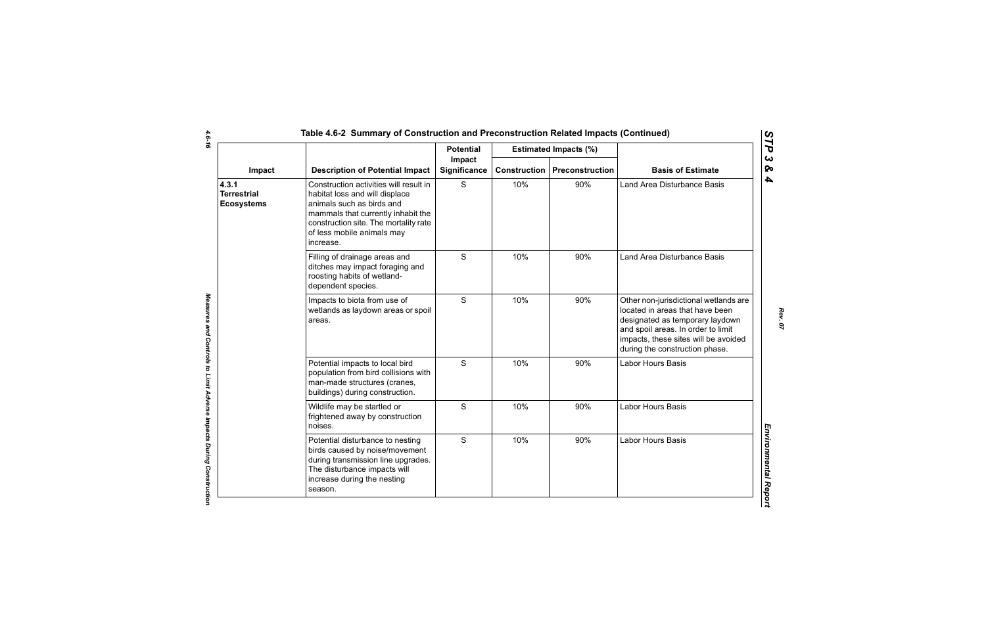|                                                  |                                                                                                                                                                                                                                 | <b>Potential</b>       |                     | <b>Estimated Impacts (%)</b> |                                                                                                                                                                                                                             |
|--------------------------------------------------|---------------------------------------------------------------------------------------------------------------------------------------------------------------------------------------------------------------------------------|------------------------|---------------------|------------------------------|-----------------------------------------------------------------------------------------------------------------------------------------------------------------------------------------------------------------------------|
| Impact                                           | <b>Description of Potential Impact</b>                                                                                                                                                                                          | Impact<br>Significance | <b>Construction</b> | Preconstruction              | <b>Basis of Estimate</b>                                                                                                                                                                                                    |
| 4.3.1<br><b>Terrestrial</b><br><b>Ecosystems</b> | Construction activities will result in<br>habitat loss and will displace<br>animals such as birds and<br>mammals that currently inhabit the<br>construction site. The mortality rate<br>of less mobile animals may<br>increase. | S                      | 10%                 | 90%                          | Land Area Disturbance Basis                                                                                                                                                                                                 |
|                                                  | Filling of drainage areas and<br>ditches may impact foraging and<br>roosting habits of wetland-<br>dependent species.                                                                                                           | S                      | 10%                 | 90%                          | Land Area Disturbance Basis                                                                                                                                                                                                 |
|                                                  | Impacts to biota from use of<br>wetlands as laydown areas or spoil<br>areas.                                                                                                                                                    | S                      | 10%                 | 90%                          | Other non-jurisdictional wetlands are<br>located in areas that have been<br>designated as temporary laydown<br>and spoil areas. In order to limit<br>impacts, these sites will be avoided<br>during the construction phase. |
|                                                  | Potential impacts to local bird<br>population from bird collisions with<br>man-made structures (cranes,<br>buildings) during construction.                                                                                      | S                      | 10%                 | 90%                          | Labor Hours Basis                                                                                                                                                                                                           |
|                                                  | Wildlife may be startled or<br>frightened away by construction<br>noises.                                                                                                                                                       | $\mathsf{S}$           | 10%                 | 90%                          | Labor Hours Basis                                                                                                                                                                                                           |
|                                                  | Potential disturbance to nesting<br>birds caused by noise/movement<br>during transmission line upgrades.<br>The disturbance impacts will<br>increase during the nesting<br>season.                                              | $\mathsf{S}$           | 10%                 | 90%                          | <b>Labor Hours Basis</b>                                                                                                                                                                                                    |

 $\mathbf{r}$ 

*Rev. 07*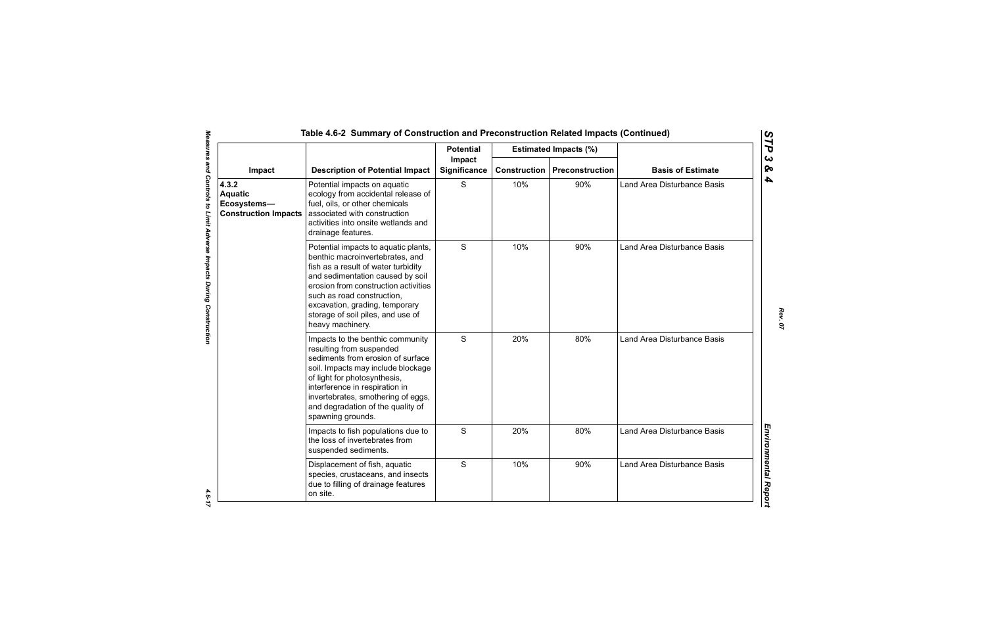|                                                                       |                                                                                                                                                                                                                                                                                                                     | <b>Potential</b>       |                     | <b>Estimated Impacts (%)</b> |                             |
|-----------------------------------------------------------------------|---------------------------------------------------------------------------------------------------------------------------------------------------------------------------------------------------------------------------------------------------------------------------------------------------------------------|------------------------|---------------------|------------------------------|-----------------------------|
| Impact                                                                | <b>Description of Potential Impact</b>                                                                                                                                                                                                                                                                              | Impact<br>Significance | <b>Construction</b> | Preconstruction              | <b>Basis of Estimate</b>    |
| 4.3.2<br><b>Aquatic</b><br>Ecosystems-<br><b>Construction Impacts</b> | Potential impacts on aquatic<br>ecology from accidental release of<br>fuel, oils, or other chemicals<br>associated with construction<br>activities into onsite wetlands and<br>drainage features.                                                                                                                   | S                      | 10%                 | 90%                          | Land Area Disturbance Basis |
|                                                                       | Potential impacts to aquatic plants,<br>benthic macroinvertebrates, and<br>fish as a result of water turbidity<br>and sedimentation caused by soil<br>erosion from construction activities<br>such as road construction,<br>excavation, grading, temporary<br>storage of soil piles, and use of<br>heavy machinery. | S                      | 10%                 | 90%                          | Land Area Disturbance Basis |
|                                                                       | Impacts to the benthic community<br>resulting from suspended<br>sediments from erosion of surface<br>soil. Impacts may include blockage<br>of light for photosynthesis,<br>interference in respiration in<br>invertebrates, smothering of eggs,<br>and degradation of the quality of<br>spawning grounds.           | S                      | 20%                 | 80%                          | Land Area Disturbance Basis |
|                                                                       | Impacts to fish populations due to<br>the loss of invertebrates from<br>suspended sediments.                                                                                                                                                                                                                        | S                      | 20%                 | 80%                          | Land Area Disturbance Basis |
|                                                                       | Displacement of fish, aquatic<br>species, crustaceans, and insects<br>due to filling of drainage features<br>on site.                                                                                                                                                                                               | S                      | 10%                 | 90%                          | Land Area Disturbance Basis |

 $4.6 - 17$ 

*STP 3 & 4*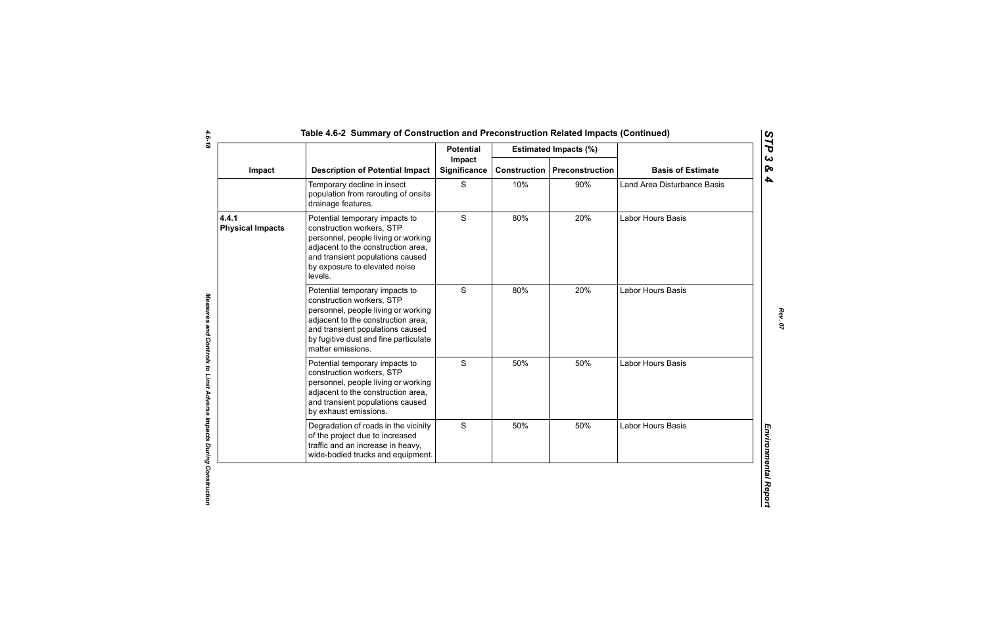|                                  |                                                                                                                                                                                                                                            | <b>Potential</b>              |                     | <b>Estimated Impacts (%)</b> |                             |
|----------------------------------|--------------------------------------------------------------------------------------------------------------------------------------------------------------------------------------------------------------------------------------------|-------------------------------|---------------------|------------------------------|-----------------------------|
| Impact                           | <b>Description of Potential Impact</b>                                                                                                                                                                                                     | Impact<br><b>Significance</b> | <b>Construction</b> | Preconstruction              | <b>Basis of Estimate</b>    |
|                                  | Temporary decline in insect<br>population from rerouting of onsite<br>drainage features.                                                                                                                                                   | S                             | 10%                 | 90%                          | Land Area Disturbance Basis |
| 4.4.1<br><b>Physical Impacts</b> | Potential temporary impacts to<br>construction workers, STP<br>personnel, people living or working<br>adjacent to the construction area,<br>and transient populations caused<br>by exposure to elevated noise<br>levels.                   | S                             | 80%                 | 20%                          | Labor Hours Basis           |
|                                  | Potential temporary impacts to<br>construction workers, STP<br>personnel, people living or working<br>adjacent to the construction area,<br>and transient populations caused<br>by fugitive dust and fine particulate<br>matter emissions. | $\mathsf{S}$                  | 80%                 | 20%                          | Labor Hours Basis           |
|                                  | Potential temporary impacts to<br>construction workers, STP<br>personnel, people living or working<br>adjacent to the construction area,<br>and transient populations caused<br>by exhaust emissions.                                      | S                             | 50%                 | 50%                          | Labor Hours Basis           |
|                                  | Degradation of roads in the vicinity<br>of the project due to increased<br>traffic and an increase in heavy,<br>wide-bodied trucks and equipment.                                                                                          | S                             | 50%                 | 50%                          | Labor Hours Basis           |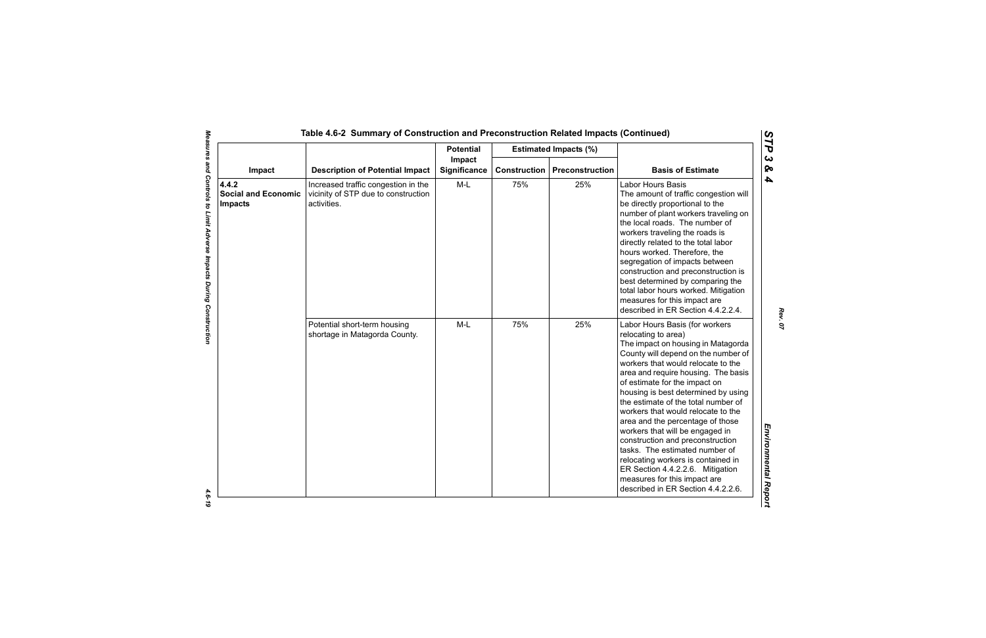|                                                       |                                                                                           | <b>Potential</b>       |     | <b>Estimated Impacts (%)</b>          |                                                                                                                                                                                                                                                                                                                                                                                                                                                                                                                                                                                                                                                                   |
|-------------------------------------------------------|-------------------------------------------------------------------------------------------|------------------------|-----|---------------------------------------|-------------------------------------------------------------------------------------------------------------------------------------------------------------------------------------------------------------------------------------------------------------------------------------------------------------------------------------------------------------------------------------------------------------------------------------------------------------------------------------------------------------------------------------------------------------------------------------------------------------------------------------------------------------------|
| Impact                                                | <b>Description of Potential Impact</b>                                                    | Impact<br>Significance |     | <b>Construction   Preconstruction</b> | <b>Basis of Estimate</b>                                                                                                                                                                                                                                                                                                                                                                                                                                                                                                                                                                                                                                          |
| 4.4.2<br><b>Social and Economic</b><br><b>Impacts</b> | Increased traffic congestion in the<br>vicinity of STP due to construction<br>activities. | M-L                    | 75% | 25%                                   | <b>Labor Hours Basis</b><br>The amount of traffic congestion will<br>be directly proportional to the<br>number of plant workers traveling on<br>the local roads. The number of<br>workers traveling the roads is<br>directly related to the total labor<br>hours worked. Therefore, the<br>segregation of impacts between<br>construction and preconstruction is<br>best determined by comparing the<br>total labor hours worked. Mitigation<br>measures for this impact are<br>described in ER Section 4.4.2.2.4.                                                                                                                                                |
|                                                       | Potential short-term housing<br>shortage in Matagorda County.                             | $M-L$                  | 75% | 25%                                   | Labor Hours Basis (for workers<br>relocating to area)<br>The impact on housing in Matagorda<br>County will depend on the number of<br>workers that would relocate to the<br>area and require housing. The basis<br>of estimate for the impact on<br>housing is best determined by using<br>the estimate of the total number of<br>workers that would relocate to the<br>area and the percentage of those<br>workers that will be engaged in<br>construction and preconstruction<br>tasks. The estimated number of<br>relocating workers is contained in<br>ER Section 4.4.2.2.6. Mitigation<br>measures for this impact are<br>described in ER Section 4.4.2.2.6. |

 $-4.6 - 19$ 

*Rev. 07*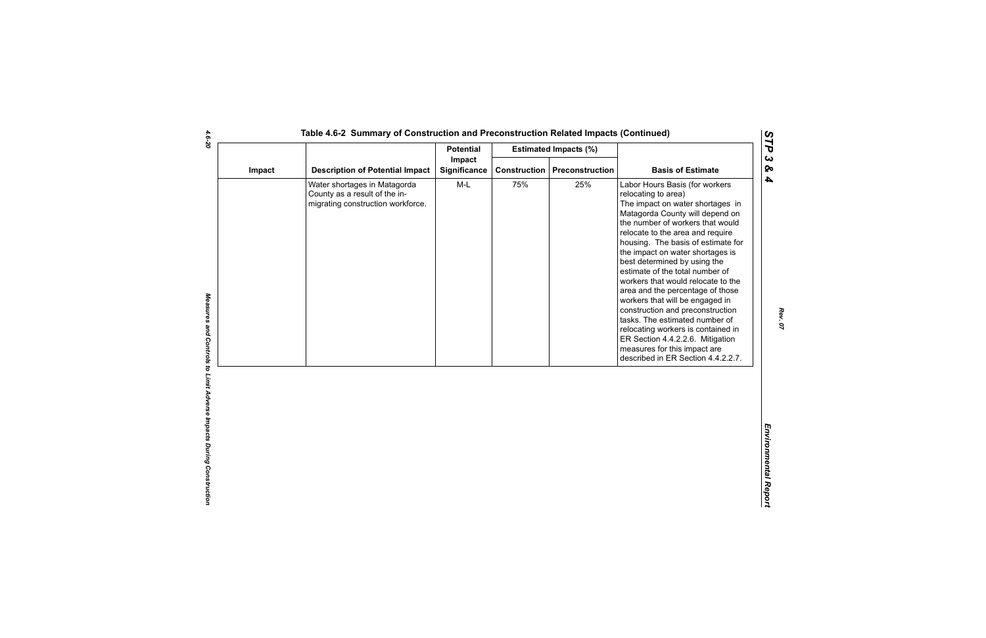|        |                                                                                                    | <b>Potential</b>       |                     | <b>Estimated Impacts (%)</b> |                                                                                                                                                                                                                                                                                                                                                                                                                                                                                                                                                                                                                                                                                      |
|--------|----------------------------------------------------------------------------------------------------|------------------------|---------------------|------------------------------|--------------------------------------------------------------------------------------------------------------------------------------------------------------------------------------------------------------------------------------------------------------------------------------------------------------------------------------------------------------------------------------------------------------------------------------------------------------------------------------------------------------------------------------------------------------------------------------------------------------------------------------------------------------------------------------|
| Impact | <b>Description of Potential Impact</b>                                                             | Impact<br>Significance | <b>Construction</b> | Preconstruction              | <b>Basis of Estimate</b>                                                                                                                                                                                                                                                                                                                                                                                                                                                                                                                                                                                                                                                             |
|        | Water shortages in Matagorda<br>County as a result of the in-<br>migrating construction workforce. | $M-L$                  | 75%                 | 25%                          | Labor Hours Basis (for workers<br>relocating to area)<br>The impact on water shortages in<br>Matagorda County will depend on<br>the number of workers that would<br>relocate to the area and require<br>housing. The basis of estimate for<br>the impact on water shortages is<br>best determined by using the<br>estimate of the total number of<br>workers that would relocate to the<br>area and the percentage of those<br>workers that will be engaged in<br>construction and preconstruction<br>tasks. The estimated number of<br>relocating workers is contained in<br>ER Section 4.4.2.2.6. Mitigation<br>measures for this impact are<br>described in ER Section 4.4.2.2.7. |

*STP 3 & 4*

4.6-20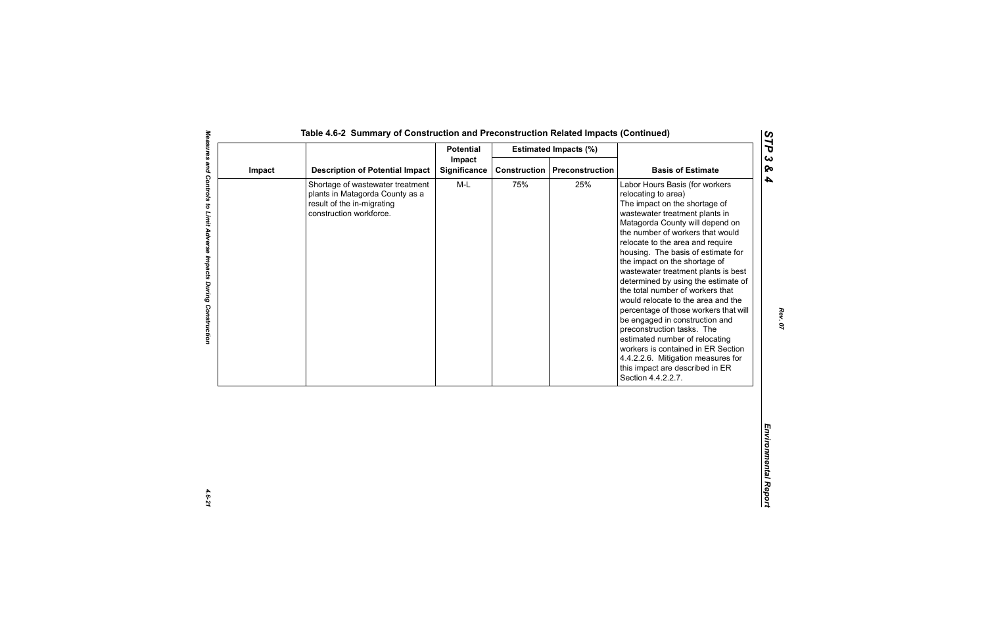|        |                                                                                                                              | <b>Potential</b><br><b>Estimated Impacts (%)</b> |                     |                 |                                                                                                                                                                                                                                                                                                                                                                                                                                                                                                                                                                                                                                                                                                                                                    |
|--------|------------------------------------------------------------------------------------------------------------------------------|--------------------------------------------------|---------------------|-----------------|----------------------------------------------------------------------------------------------------------------------------------------------------------------------------------------------------------------------------------------------------------------------------------------------------------------------------------------------------------------------------------------------------------------------------------------------------------------------------------------------------------------------------------------------------------------------------------------------------------------------------------------------------------------------------------------------------------------------------------------------------|
| Impact | <b>Description of Potential Impact</b>                                                                                       | Impact<br><b>Significance</b>                    | <b>Construction</b> | Preconstruction | <b>Basis of Estimate</b>                                                                                                                                                                                                                                                                                                                                                                                                                                                                                                                                                                                                                                                                                                                           |
|        | Shortage of wastewater treatment<br>plants in Matagorda County as a<br>result of the in-migrating<br>construction workforce. | M-L                                              | 75%                 | 25%             | Labor Hours Basis (for workers<br>relocating to area)<br>The impact on the shortage of<br>wastewater treatment plants in<br>Matagorda County will depend on<br>the number of workers that would<br>relocate to the area and require<br>housing. The basis of estimate for<br>the impact on the shortage of<br>wastewater treatment plants is best<br>determined by using the estimate of<br>the total number of workers that<br>would relocate to the area and the<br>percentage of those workers that will<br>be engaged in construction and<br>preconstruction tasks. The<br>estimated number of relocating<br>workers is contained in ER Section<br>4.4.2.2.6. Mitigation measures for<br>this impact are described in ER<br>Section 4.4.2.2.7. |

4.6-21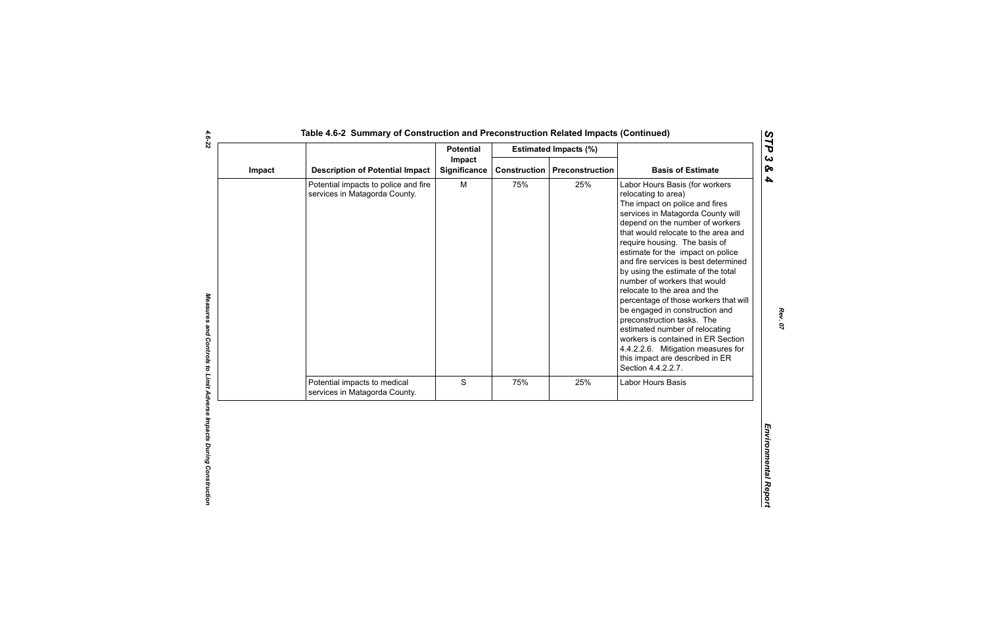|                                                                       | <b>Potential</b>    |        |     |                                                                                                                                                                                                                                                                                                                                                                                                                                                                                                                                                                                                                                                                                                            |
|-----------------------------------------------------------------------|---------------------|--------|-----|------------------------------------------------------------------------------------------------------------------------------------------------------------------------------------------------------------------------------------------------------------------------------------------------------------------------------------------------------------------------------------------------------------------------------------------------------------------------------------------------------------------------------------------------------------------------------------------------------------------------------------------------------------------------------------------------------------|
| <b>Description of Potential Impact</b>                                | <b>Significance</b> |        |     | <b>Basis of Estimate</b>                                                                                                                                                                                                                                                                                                                                                                                                                                                                                                                                                                                                                                                                                   |
| Potential impacts to police and fire<br>services in Matagorda County. | M                   | 75%    | 25% | Labor Hours Basis (for workers<br>relocating to area)<br>The impact on police and fires<br>services in Matagorda County will<br>depend on the number of workers<br>that would relocate to the area and<br>require housing. The basis of<br>estimate for the impact on police<br>and fire services is best determined<br>by using the estimate of the total<br>number of workers that would<br>relocate to the area and the<br>percentage of those workers that will<br>be engaged in construction and<br>preconstruction tasks. The<br>estimated number of relocating<br>workers is contained in ER Section<br>4.4.2.2.6. Mitigation measures for<br>this impact are described in ER<br>Section 4.4.2.2.7. |
| Potential impacts to medical<br>services in Matagorda County.         | S                   | 75%    | 25% | Labor Hours Basis                                                                                                                                                                                                                                                                                                                                                                                                                                                                                                                                                                                                                                                                                          |
|                                                                       |                     |        |     |                                                                                                                                                                                                                                                                                                                                                                                                                                                                                                                                                                                                                                                                                                            |
|                                                                       |                     | Impact |     | <b>Estimated Impacts (%)</b><br><b>Construction</b><br>Preconstruction                                                                                                                                                                                                                                                                                                                                                                                                                                                                                                                                                                                                                                     |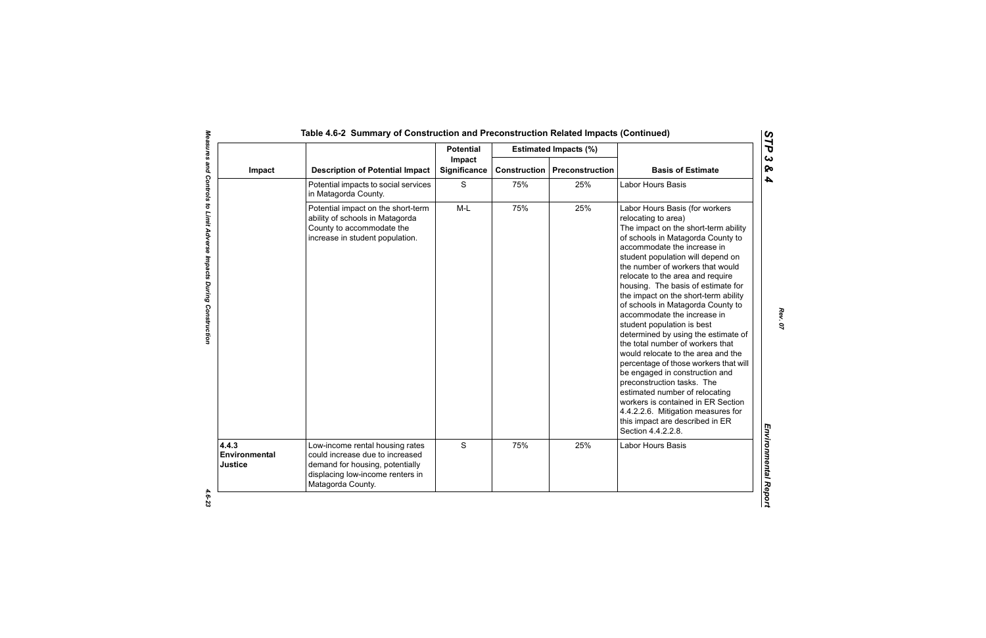|                                   |                                                                                                                                                                | <b>Potential</b>       |                     | <b>Estimated Impacts (%)</b> |                                                                                                                                                                                                                                                                                                                                                                                                                                                                                                                                                                                                                                                                                                                                                                                                                                                                 |
|-----------------------------------|----------------------------------------------------------------------------------------------------------------------------------------------------------------|------------------------|---------------------|------------------------------|-----------------------------------------------------------------------------------------------------------------------------------------------------------------------------------------------------------------------------------------------------------------------------------------------------------------------------------------------------------------------------------------------------------------------------------------------------------------------------------------------------------------------------------------------------------------------------------------------------------------------------------------------------------------------------------------------------------------------------------------------------------------------------------------------------------------------------------------------------------------|
| Impact                            | <b>Description of Potential Impact</b>                                                                                                                         | Impact<br>Significance | <b>Construction</b> | <b>Preconstruction</b>       | <b>Basis of Estimate</b>                                                                                                                                                                                                                                                                                                                                                                                                                                                                                                                                                                                                                                                                                                                                                                                                                                        |
|                                   | Potential impacts to social services<br>in Matagorda County.                                                                                                   | S                      | 75%                 | 25%                          | Labor Hours Basis                                                                                                                                                                                                                                                                                                                                                                                                                                                                                                                                                                                                                                                                                                                                                                                                                                               |
|                                   | Potential impact on the short-term<br>ability of schools in Matagorda<br>County to accommodate the<br>increase in student population.                          | $M-L$                  | 75%                 | 25%                          | Labor Hours Basis (for workers<br>relocating to area)<br>The impact on the short-term ability<br>of schools in Matagorda County to<br>accommodate the increase in<br>student population will depend on<br>the number of workers that would<br>relocate to the area and require<br>housing. The basis of estimate for<br>the impact on the short-term ability<br>of schools in Matagorda County to<br>accommodate the increase in<br>student population is best<br>determined by using the estimate of<br>the total number of workers that<br>would relocate to the area and the<br>percentage of those workers that will<br>be engaged in construction and<br>preconstruction tasks. The<br>estimated number of relocating<br>workers is contained in ER Section<br>4.4.2.2.6. Mitigation measures for<br>this impact are described in ER<br>Section 4.4.2.2.8. |
| 4.4.3<br>Environmental<br>Justice | Low-income rental housing rates<br>could increase due to increased<br>demand for housing, potentially<br>displacing low-income renters in<br>Matagorda County. | S                      | 75%                 | 25%                          | Labor Hours Basis                                                                                                                                                                                                                                                                                                                                                                                                                                                                                                                                                                                                                                                                                                                                                                                                                                               |

*STP 3 & 4*

 $4.6 - 23$